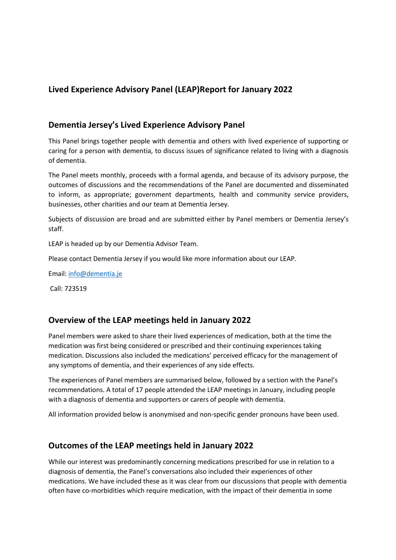# **Lived Experience Advisory Panel (LEAP)Report for January 2022**

### **Dementia Jersey's Lived Experience Advisory Panel**

This Panel brings together people with dementia and others with lived experience of supporting or caring for a person with dementia, to discuss issues of significance related to living with a diagnosis of dementia.

The Panel meets monthly, proceeds with a formal agenda, and because of its advisory purpose, the outcomes of discussions and the recommendations of the Panel are documented and disseminated to inform, as appropriate; government departments, health and community service providers, businesses, other charities and our team at Dementia Jersey.

Subjects of discussion are broad and are submitted either by Panel members or Dementia Jersey's staff.

LEAP is headed up by our Dementia Advisor Team.

Please contact Dementia Jersey if you would like more information about our LEAP.

Email: info@dementia.je

Call: 723519

## **Overview of the LEAP meetings held in January 2022**

Panel members were asked to share their lived experiences of medication, both at the time the medication was first being considered or prescribed and their continuing experiences taking medication. Discussions also included the medications' perceived efficacy for the management of any symptoms of dementia, and their experiences of any side effects.

The experiences of Panel members are summarised below, followed by a section with the Panel's recommendations. A total of 17 people attended the LEAP meetings in January, including people with a diagnosis of dementia and supporters or carers of people with dementia.

All information provided below is anonymised and non-specific gender pronouns have been used.

# **Outcomes of the LEAP meetings held in January 2022**

While our interest was predominantly concerning medications prescribed for use in relation to a diagnosis of dementia, the Panel's conversations also included their experiences of other medications. We have included these as it was clear from our discussions that people with dementia often have co-morbidities which require medication, with the impact of their dementia in some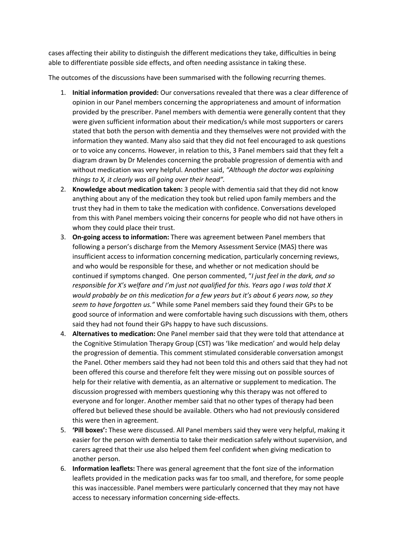cases affecting their ability to distinguish the different medications they take, difficulties in being able to differentiate possible side effects, and often needing assistance in taking these.

The outcomes of the discussions have been summarised with the following recurring themes.

- 1. **Initial information provided:** Our conversations revealed that there was a clear difference of opinion in our Panel members concerning the appropriateness and amount of information provided by the prescriber. Panel members with dementia were generally content that they were given sufficient information about their medication/s while most supporters or carers stated that both the person with dementia and they themselves were not provided with the information they wanted. Many also said that they did not feel encouraged to ask questions or to voice any concerns. However, in relation to this, 3 Panel members said that they felt a diagram drawn by Dr Melendes concerning the probable progression of dementia with and without medication was very helpful. Another said, *"Although the doctor was explaining things to X, it clearly was all going over their head".*
- 2. **Knowledge about medication taken:** 3 people with dementia said that they did not know anything about any of the medication they took but relied upon family members and the trust they had in them to take the medication with confidence. Conversations developed from this with Panel members voicing their concerns for people who did not have others in whom they could place their trust.
- 3. **On-going access to information:** There was agreement between Panel members that following a person's discharge from the Memory Assessment Service (MAS) there was insufficient access to information concerning medication, particularly concerning reviews, and who would be responsible for these, and whether or not medication should be continued if symptoms changed. One person commented, "*I just feel in the dark, and so responsible for X's welfare and I'm just not qualified for this. Years ago I was told that X would probably be on this medication for a few years but it's about 6 years now, so they seem to have forgotten us."* While some Panel members said they found their GPs to be good source of information and were comfortable having such discussions with them, others said they had not found their GPs happy to have such discussions.
- 4. **Alternatives to medication:** One Panel member said that they were told that attendance at the Cognitive Stimulation Therapy Group (CST) was 'like medication' and would help delay the progression of dementia. This comment stimulated considerable conversation amongst the Panel. Other members said they had not been told this and others said that they had not been offered this course and therefore felt they were missing out on possible sources of help for their relative with dementia, as an alternative or supplement to medication. The discussion progressed with members questioning why this therapy was not offered to everyone and for longer. Another member said that no other types of therapy had been offered but believed these should be available. Others who had not previously considered this were then in agreement.
- 5. **'Pill boxes':** These were discussed. All Panel members said they were very helpful, making it easier for the person with dementia to take their medication safely without supervision, and carers agreed that their use also helped them feel confident when giving medication to another person.
- 6. **Information leaflets:** There was general agreement that the font size of the information leaflets provided in the medication packs was far too small, and therefore, for some people this was inaccessible. Panel members were particularly concerned that they may not have access to necessary information concerning side-effects.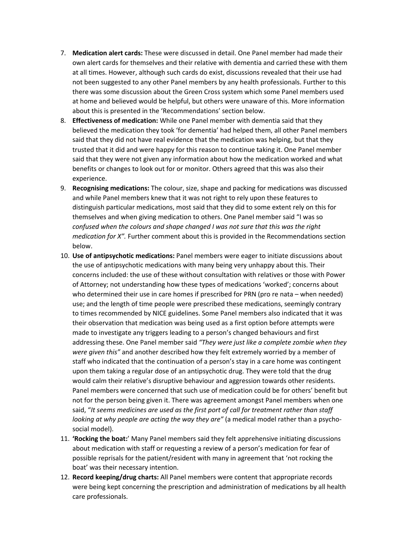- 7. **Medication alert cards:** These were discussed in detail. One Panel member had made their own alert cards for themselves and their relative with dementia and carried these with them at all times. However, although such cards do exist, discussions revealed that their use had not been suggested to any other Panel members by any health professionals. Further to this there was some discussion about the Green Cross system which some Panel members used at home and believed would be helpful, but others were unaware of this. More information about this is presented in the 'Recommendations' section below.
- 8. **Effectiveness of medication:** While one Panel member with dementia said that they believed the medication they took 'for dementia' had helped them, all other Panel members said that they did not have real evidence that the medication was helping, but that they trusted that it did and were happy for this reason to continue taking it. One Panel member said that they were not given any information about how the medication worked and what benefits or changes to look out for or monitor. Others agreed that this was also their experience.
- 9. **Recognising medications:** The colour, size, shape and packing for medications was discussed and while Panel members knew that it was not right to rely upon these features to distinguish particular medications, most said that they did to some extent rely on this for themselves and when giving medication to others. One Panel member said "I was so *confused when the colours and shape changed I was not sure that this was the right medication for X".* Further comment about this is provided in the Recommendations section below.
- 10. **Use of antipsychotic medications:** Panel members were eager to initiate discussions about the use of antipsychotic medications with many being very unhappy about this. Their concerns included: the use of these without consultation with relatives or those with Power of Attorney; not understanding how these types of medications 'worked'; concerns about who determined their use in care homes if prescribed for PRN (pro re nata – when needed) use; and the length of time people were prescribed these medications, seemingly contrary to times recommended by NICE guidelines. Some Panel members also indicated that it was their observation that medication was being used as a first option before attempts were made to investigate any triggers leading to a person's changed behaviours and first addressing these. One Panel member said *"They were just like a complete zombie when they were given this"* and another described how they felt extremely worried by a member of staff who indicated that the continuation of a person's stay in a care home was contingent upon them taking a regular dose of an antipsychotic drug. They were told that the drug would calm their relative's disruptive behaviour and aggression towards other residents. Panel members were concerned that such use of medication could be for others' benefit but not for the person being given it. There was agreement amongst Panel members when one said, "*It seems medicines are used as the first port of call for treatment rather than staff looking at why people are acting the way they are"* (a medical model rather than a psychosocial model).
- 11. **'Rocking the boat:**' Many Panel members said they felt apprehensive initiating discussions about medication with staff or requesting a review of a person's medication for fear of possible reprisals for the patient/resident with many in agreement that 'not rocking the boat' was their necessary intention.
- 12. **Record keeping/drug charts:** All Panel members were content that appropriate records were being kept concerning the prescription and administration of medications by all health care professionals.